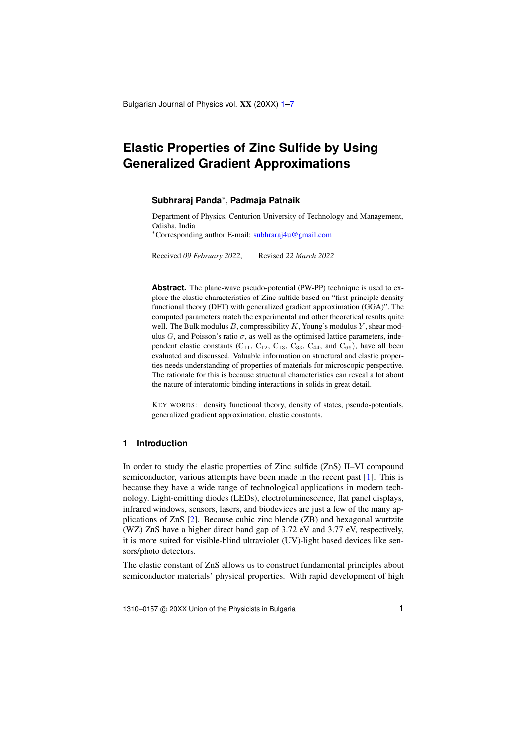Bulgarian Journal of Physics vol. XX (20XX) [1](#page-0-0)-7

# <span id="page-0-0"></span>**Elastic Properties of Zinc Sulfide by Using Generalized Gradient Approximations**

### **Subhraraj Panda**<sup>∗</sup> , **Padmaja Patnaik**

Department of Physics, Centurion University of Technology and Management, Odisha, India

<sup>∗</sup>Corresponding author E-mail: [subhraraj4u@gmail.com](mailto:subhraraj4u@gmail.com)

Received *09 February 2022*, Revised *22 March 2022*

**Abstract.** The plane-wave pseudo-potential (PW-PP) technique is used to explore the elastic characteristics of Zinc sulfide based on "first-principle density functional theory (DFT) with generalized gradient approximation (GGA)". The computed parameters match the experimental and other theoretical results quite well. The Bulk modulus  $B$ , compressibility  $K$ , Young's modulus  $Y$ , shear modulus G, and Poisson's ratio  $\sigma$ , as well as the optimised lattice parameters, independent elastic constants  $(C_{11}, C_{12}, C_{13}, C_{33}, C_{44},$  and  $C_{66}$ ), have all been evaluated and discussed. Valuable information on structural and elastic properties needs understanding of properties of materials for microscopic perspective. The rationale for this is because structural characteristics can reveal a lot about the nature of interatomic binding interactions in solids in great detail.

KEY WORDS: density functional theory, density of states, pseudo-potentials, generalized gradient approximation, elastic constants.

# **1 Introduction**

In order to study the elastic properties of Zinc sulfide (ZnS) II–VI compound semiconductor, various attempts have been made in the recent past [\[1\]](#page-5-1). This is because they have a wide range of technological applications in modern technology. Light-emitting diodes (LEDs), electroluminescence, flat panel displays, infrared windows, sensors, lasers, and biodevices are just a few of the many applications of ZnS [\[2\]](#page-5-2). Because cubic zinc blende (ZB) and hexagonal wurtzite (WZ) ZnS have a higher direct band gap of 3.72 eV and 3.77 eV, respectively, it is more suited for visible-blind ultraviolet (UV)-light based devices like sensors/photo detectors.

The elastic constant of ZnS allows us to construct fundamental principles about semiconductor materials' physical properties. With rapid development of high

1310–0157 © 20XX Union of the Physicists in Bulgaria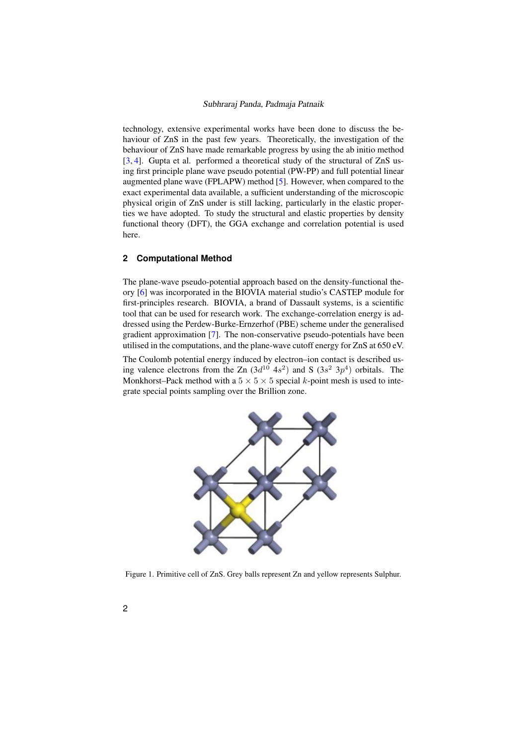### Subhraraj Panda, Padmaja Patnaik

technology, extensive experimental works have been done to discuss the behaviour of ZnS in the past few years. Theoretically, the investigation of the behaviour of ZnS have made remarkable progress by using the ab initio method [\[3,](#page-5-3) [4\]](#page-5-4). Gupta et al. performed a theoretical study of the structural of ZnS using first principle plane wave pseudo potential (PW-PP) and full potential linear augmented plane wave (FPLAPW) method [\[5\]](#page-5-5). However, when compared to the exact experimental data available, a sufficient understanding of the microscopic physical origin of ZnS under is still lacking, particularly in the elastic properties we have adopted. To study the structural and elastic properties by density functional theory (DFT), the GGA exchange and correlation potential is used here.

### **2 Computational Method** is a scientific tool that can be used for research work. The exchange-correlation energy is addressed using the exchange-correlation energy is addressed using the exchange-correlation energy is addressed using the exchange

The plane-wave pseudo-potential approach based on the density-functional theory [\[6\]](#page-5-6) was incorporated in the BIOVIA material studio's CASTEP module for first-principles research. BIOVIA, a brand of Dassault systems, is a scientific<br>tool that can be used for research work. The exchange-correlation energy is adtool that can be used for research work. The exchange-correlation energy is addressed using the Perdew-Burke-Ernzerhof (PBE) scheme under the generalised gradient approximation  $[7]$ . The non-conservative pseudo-potentials have been utilised in the computations, and the plane-wave cutoff energy for ZnS at 650 eV.

The Coulomb potential energy induced by electron–ion contact is described us-<br>in a valence electrons from the  $\mathbb{Z}_p$  (3x<sup>10</sup> 4x<sup>2</sup>) and  $S$  (3x<sup>2</sup> 3x<sup>4</sup>) orbitals. The ing valence electrons from the Zn  $(3d^{10} 4s^2)$  and S  $(3s^2 3p^4)$  orbitals. The Monkhorst–Pack method with a  $5 \times 5 \times 5$  special k-point mesh is used to inte-MOIKHOISI-1 ack include while  $3 \times 5 \times 5$  special  $\kappa$  grate special points sampling over the Brillion zone.



<span id="page-1-0"></span>Figure 1. Primitive cell of ZnS. Grey balls represent Zn and yellow represents Sulphur.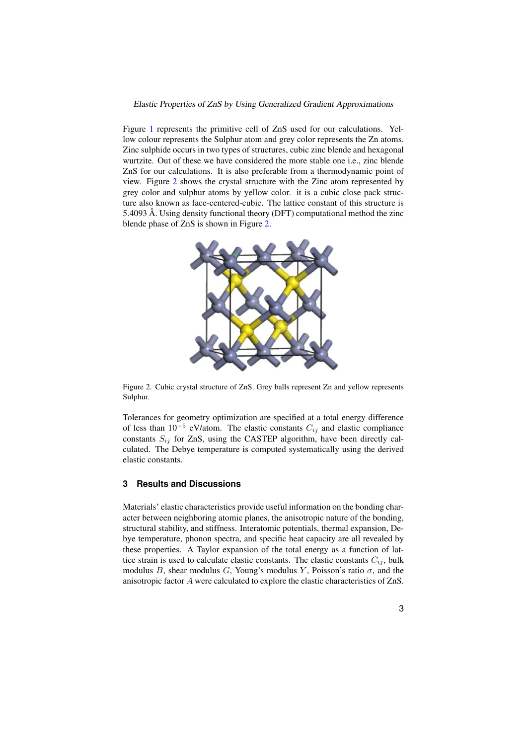### Elastic Properties of ZnS by Using Generalized Gradient Approximations

Figure [1](#page-1-0) represents the primitive cell of ZnS used for our calculations. Yellow colour represents the Sulphur atom and grey color represents the Zn atoms. Zinc sulphide occurs in two types of structures, cubic zinc blende and hexagonal wurtzite. Out of these we have considered the more stable one i.e., zinc blende ZnS for our calculations. It is also preferable from a thermodynamic point of view. Figure [2](#page-2-0) shows the crystal structure with the Zinc atom represented by Figure 2 shows the crystal structure with the Zne atom represented by grey color and sulphur atoms by yellow color. It is a cubic close pack structure also known as face-centered-cubic. The lattice constant of this structure is 5.4093 Å. Using density functional theory (DFT) computational method the zinc blende phase of ZnS is shown in Figure [2.](#page-2-0)



<span id="page-2-0"></span>Figure of  $\mathcal{S}$  calculates  $\mathcal{S}$  and  $\mathcal{S}$  and  $\mathcal{S}$  and  $\mathcal{S}$  and  $\mathcal{S}$  and  $\mathcal{S}$  and  $\mathcal{S}$  are present  $\mathcal{S}$  and  $\mathcal{S}$  and  $\mathcal{S}$  are presents  $\mathcal{S}$  and  $\mathcal{S}$  are presents  $\mathcal{S}$  a Figure 2. Cubic crystal structure of ZnS. Grey balls represent Zn and yellow represents Sulphur.

of less than  $10^{-5}$  eV/atom. The elastic constants  $C_{ij}$  and elastic compliance culated. The Debye temperature is computed systematically using the derived blende and hexagonal wurden wurden wurden we have constants. Our stable one in more stable one i.e.,  $\frac{1}{n}$ Tolerances for geometry optimization are specified at a total energy difference constants  $S_{ij}$  for ZnS, using the CASTEP algorithm, have been directly calelastic constants.

# **2 Results and Discussions 3 Results and Discussions**

Materials' elastic characteristics provide useful information on the bonding character between neighboring atomic planes, the anisotropic nature of the bonding, bye temperature, phonon spectra, and specific heat capacity are all revealed by tices froperies. A Taylor expansion of the total energy as a function of factorial difference of  $\alpha_{ij}$ , bulk modulus B, shear modulus G, Young's modulus Y, Poisson's ratio  $\sigma$ , and the structural stability, and stiffness. Interatomic potentials, thermal expansion, Dethese properties. A Taylor expansion of the total energy as a function of latanisotropic factor A were calculated to explore the elastic characteristics of ZnS.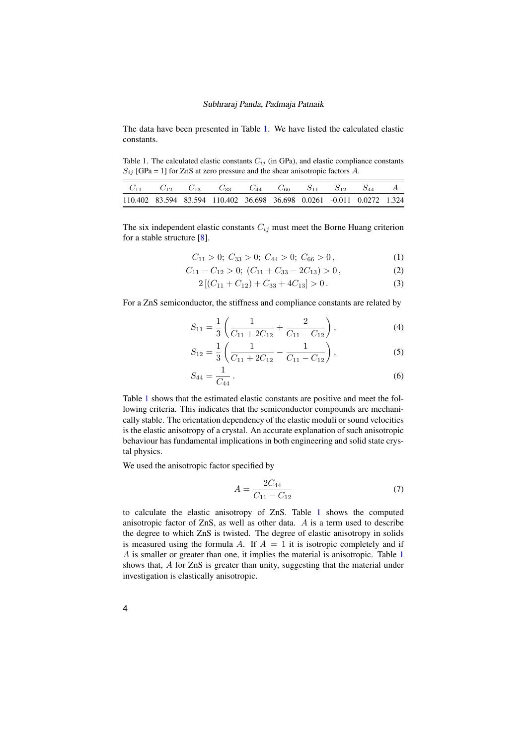#### Subhraraj Panda, Padmaja Patnaik

The data have been presented in Table [1.](#page-3-0) We have listed the calculated elastic constants.

<span id="page-3-0"></span>Table 1. The calculated elastic constants  $C_{ij}$  (in GPa), and elastic compliance constants  $S_{ij}$  [GPa = 1] for ZnS at zero pressure and the shear anisotropic factors A.

|  | $C_{11}$ $C_{12}$ $C_{13}$ $C_{33}$ $C_{44}$ $C_{66}$ $S_{11}$ $S_{12}$ $S_{44}$ A |  |  |  |
|--|------------------------------------------------------------------------------------|--|--|--|
|  | 110.402 83.594 83.594 110.402 36.698 36.698 0.0261 -0.011 0.0272 1.324             |  |  |  |

The six independent elastic constants  $C_{ij}$  must meet the Borne Huang criterion for a stable structure [\[8\]](#page-5-8).

$$
C_{11} > 0; C_{33} > 0; C_{44} > 0; C_{66} > 0,
$$
 (1)

$$
C_{11} - C_{12} > 0; \ (C_{11} + C_{33} - 2C_{13}) > 0, \tag{2}
$$

$$
2\left[\left(C_{11} + C_{12}\right) + C_{33} + 4C_{13}\right] > 0\,. \tag{3}
$$

For a ZnS semiconductor, the stiffness and compliance constants are related by

$$
S_{11} = \frac{1}{3} \left( \frac{1}{C_{11} + 2C_{12}} + \frac{2}{C_{11} - C_{12}} \right),
$$
 (4)

$$
S_{12} = \frac{1}{3} \left( \frac{1}{C_{11} + 2C_{12}} - \frac{1}{C_{11} - C_{12}} \right),
$$
 (5)

$$
S_{44} = \frac{1}{C_{44}} \,. \tag{6}
$$

Table [1](#page-3-0) shows that the estimated elastic constants are positive and meet the following criteria. This indicates that the semiconductor compounds are mechanically stable. The orientation dependency of the elastic moduli or sound velocities is the elastic anisotropy of a crystal. An accurate explanation of such anisotropic behaviour has fundamental implications in both engineering and solid state crystal physics.

We used the anisotropic factor specified by

$$
A = \frac{2C_{44}}{C_{11} - C_{12}}\tag{7}
$$

to calculate the elastic anisotropy of ZnS. Table [1](#page-3-0) shows the computed anisotropic factor of ZnS, as well as other data. A is a term used to describe the degree to which ZnS is twisted. The degree of elastic anisotropy in solids is measured using the formula A. If  $A = 1$  it is isotropic completely and if A is smaller or greater than one, it implies the material is anisotropic. Table [1](#page-3-0) shows that, A for ZnS is greater than unity, suggesting that the material under investigation is elastically anisotropic.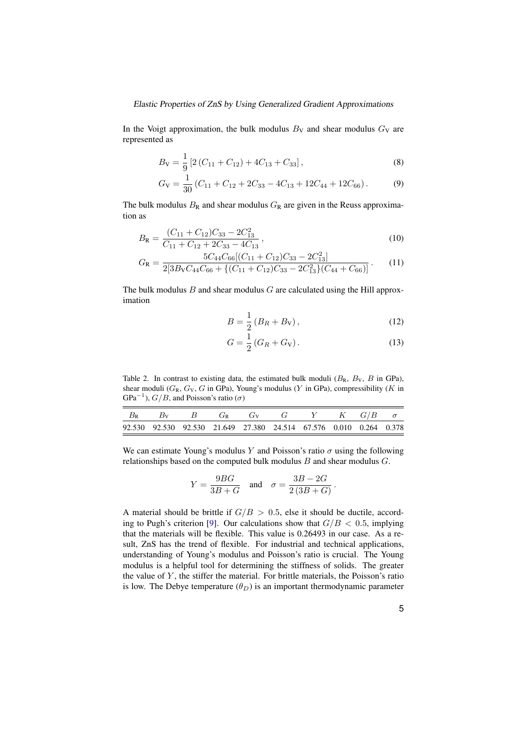### Elastic Properties of ZnS by Using Generalized Gradient Approximations

In the Voigt approximation, the bulk modulus  $B_V$  and shear modulus  $G_V$  are represented as

$$
B_{\rm V} = \frac{1}{9} \left[ 2 \left( C_{11} + C_{12} \right) + 4 C_{13} + C_{33} \right],\tag{8}
$$

$$
G_V = \frac{1}{30} \left( C_{11} + C_{12} + 2C_{33} - 4C_{13} + 12C_{44} + 12C_{66} \right). \tag{9}
$$

The bulk modulus  $B_R$  and shear modulus  $G_R$  are given in the Reuss approximation as

$$
B_{\rm R} = \frac{(C_{11} + C_{12})C_{33} - 2C_{13}^2}{C_{11} + C_{12} + 2C_{33} - 4C_{13}},
$$
\n(10)

$$
G_{\rm R} = \frac{5C_{44}C_{66}[(C_{11} + C_{12})C_{33} - 2C_{13}^2]}{2[3B_{\rm V}C_{44}C_{66} + \{(C_{11} + C_{12})C_{33} - 2C_{13}^2\}(C_{44} + C_{66})]}.
$$
 (11)

The bulk modulus  $B$  and shear modulus  $G$  are calculated using the Hill approximation

$$
B = \frac{1}{2} (B_R + B_V),
$$
 (12)

$$
G = \frac{1}{2} (G_R + G_V).
$$
 (13)

Table 2. In contrast to existing data, the estimated bulk moduli  $(B_R, B_V, B$  in GPa), shear moduli  $(G_R, G_V, G$  in GPa), Young's modulus (Y in GPa), compressibility (K in GPa<sup>-1</sup>),  $G/B$ , and Poisson's ratio ( $\sigma$ )

|  |  | $B_R$ $B_V$ $B$ $G_R$ $G_V$ $G$ $Y$ $K$ $G/B$ $\sigma$             |  |  |
|--|--|--------------------------------------------------------------------|--|--|
|  |  | 92.530 92.530 92.530 21.649 27.380 24.514 67.576 0.010 0.264 0.378 |  |  |

We can estimate Young's modulus Y and Poisson's ratio  $\sigma$  using the following relationships based on the computed bulk modulus  $B$  and shear modulus  $G$ .

$$
Y = \frac{9BG}{3B+G} \quad \text{and} \quad \sigma = \frac{3B-2G}{2(3B+G)}.
$$

A material should be brittle if  $G/B > 0.5$ , else it should be ductile, accord-ing to Pugh's criterion [\[9\]](#page-5-9). Our calculations show that  $G/B < 0.5$ , implying that the materials will be flexible. This value is 0.26493 in our case. As a result, ZnS has the trend of flexible. For industrial and technical applications, understanding of Young's modulus and Poisson's ratio is crucial. The Young modulus is a helpful tool for determining the stiffness of solids. The greater the value of  $Y$ , the stiffer the material. For brittle materials, the Poisson's ratio is low. The Debye temperature  $(\theta_D)$  is an important thermodynamic parameter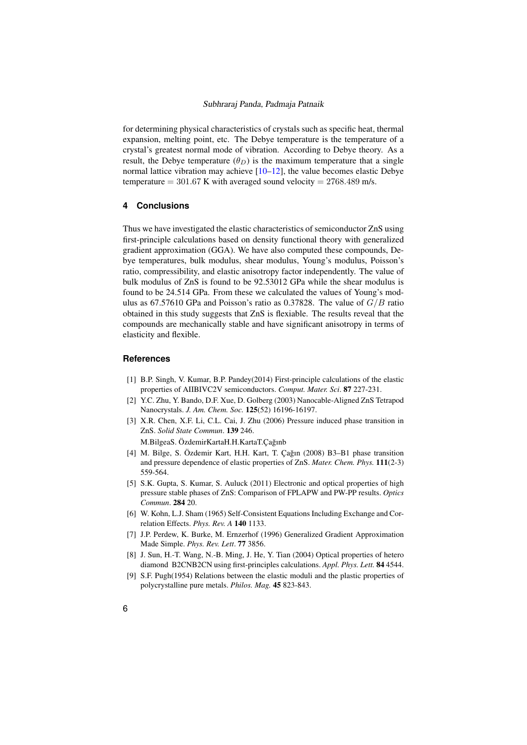### Subhraraj Panda, Padmaja Patnaik

for determining physical characteristics of crystals such as specific heat, thermal expansion, melting point, etc. The Debye temperature is the temperature of a crystal's greatest normal mode of vibration. According to Debye theory. As a result, the Debye temperature  $(\theta_D)$  is the maximum temperature that a single normal lattice vibration may achieve [\[10–](#page-6-0)[12\]](#page-6-1), the value becomes elastic Debye temperature  $= 301.67$  K with averaged sound velocity  $= 2768.489$  m/s.

### **4 Conclusions**

Thus we have investigated the elastic characteristics of semiconductor ZnS using first-principle calculations based on density functional theory with generalized gradient approximation (GGA). We have also computed these compounds, Debye temperatures, bulk modulus, shear modulus, Young's modulus, Poisson's ratio, compressibility, and elastic anisotropy factor independently. The value of bulk modulus of ZnS is found to be 92.53012 GPa while the shear modulus is found to be 24.514 GPa. From these we calculated the values of Young's modulus as 67.57610 GPa and Poisson's ratio as 0.37828. The value of  $G/B$  ratio obtained in this study suggests that ZnS is flexiable. The results reveal that the compounds are mechanically stable and have significant anisotropy in terms of elasticity and flexible.

### <span id="page-5-0"></span>**References**

- <span id="page-5-1"></span>[1] B.P. Singh, V. Kumar, B.P. Pandey(2014) First-principle calculations of the elastic properties of AIIBIVC2V semiconductors. *Comput. Mater. Sci*. 87 227-231.
- <span id="page-5-2"></span>[2] Y.C. Zhu, Y. Bando, D.F. Xue, D. Golberg (2003) Nanocable-Aligned ZnS Tetrapod Nanocrystals. *J. Am. Chem. Soc.* 125(52) 16196-16197.
- <span id="page-5-3"></span>[3] X.R. Chen, X.F. Li, C.L. Cai, J. Zhu (2006) Pressure induced phase transition in ZnS. *Solid State Commun*. 139 246.

M.BilgeaS. ÖzdemirKartaH.H.KartaT.Cağınb

- <span id="page-5-4"></span>[4] M. Bilge, S. Özdemir Kart, H.H. Kart, T. Çağın (2008) B3-B1 phase transition and pressure dependence of elastic properties of ZnS. *Mater. Chem. Phys.* 111(2-3) 559-564.
- <span id="page-5-5"></span>[5] S.K. Gupta, S. Kumar, S. Auluck (2011) Electronic and optical properties of high pressure stable phases of ZnS: Comparison of FPLAPW and PW-PP results. *Optics Commun*. 284 20.
- <span id="page-5-6"></span>[6] W. Kohn, L.J. Sham (1965) Self-Consistent Equations Including Exchange and Correlation Effects. *Phys. Rev. A* 140 1133.
- <span id="page-5-7"></span>[7] J.P. Perdew, K. Burke, M. Ernzerhof (1996) Generalized Gradient Approximation Made Simple. *Phys. Rev. Lett*. 77 3856.
- <span id="page-5-8"></span>[8] J. Sun, H.-T. Wang, N.-B. Ming, J. He, Y. Tian (2004) Optical properties of hetero diamond B2CNB2CN using first-principles calculations. *Appl. Phys. Lett.* 84 4544.
- <span id="page-5-9"></span>[9] S.F. Pugh(1954) Relations between the elastic moduli and the plastic properties of polycrystalline pure metals. *Philos. Mag.* 45 823-843.